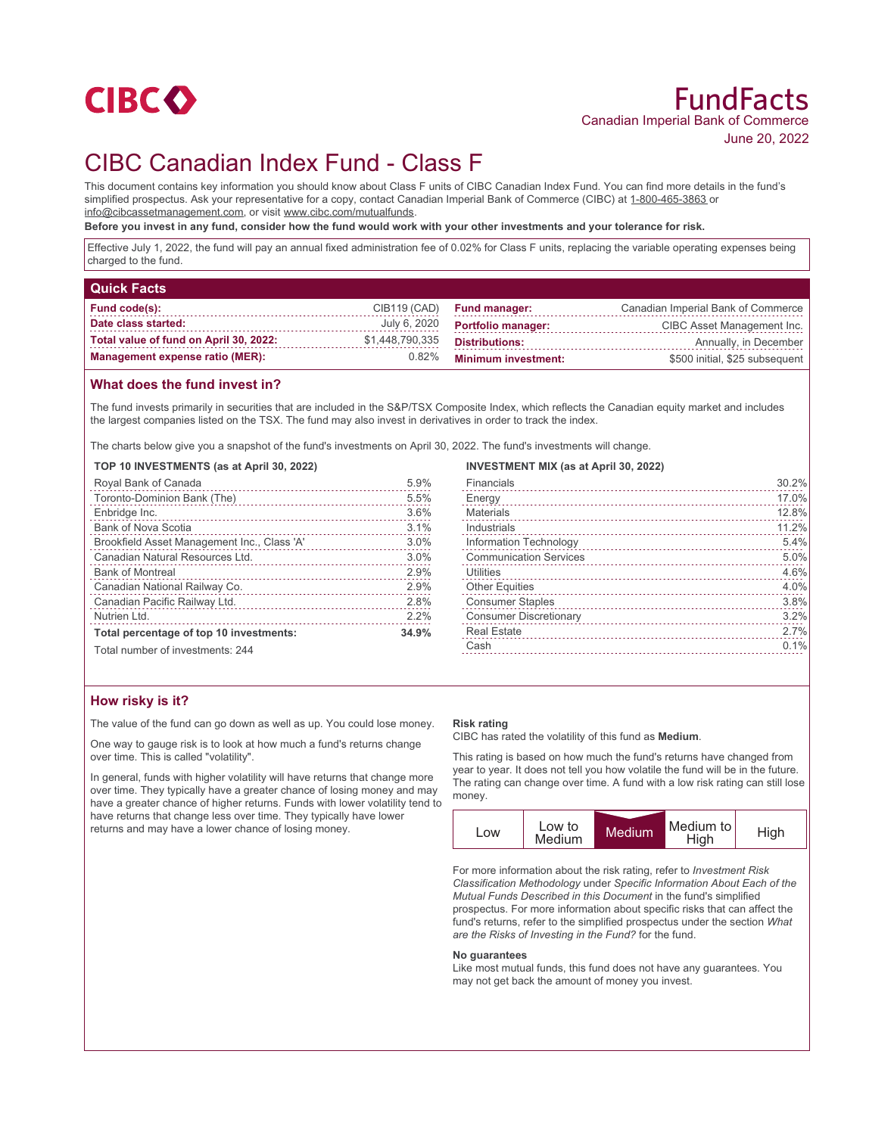

# CIBC Canadian Index Fund - Class F

This document contains key information you should know about Class F units of CIBC Canadian Index Fund. You can find more details in the fund's simplified prospectus. Ask your representative for a copy, contact Canadian Imperial Bank of Commerce (CIBC) at 1-800-465-3863 or info@cibcassetmanagement.com, or visit www.cibc.com/mutualfunds.

**Before you invest in any fund, consider how the fund would work with your other investments and your tolerance for risk.**

Effective July 1, 2022, the fund will pay an annual fixed administration fee of 0.02% for Class F units, replacing the variable operating expenses being charged to the fund.

| <b>Quick Facts</b>                     |                 |                            |                                    |
|----------------------------------------|-----------------|----------------------------|------------------------------------|
| Fund code(s):                          | CIB119 (CAD)    | <b>Fund manager:</b>       | Canadian Imperial Bank of Commerce |
| Date class started:                    | July 6, 2020    | <b>Portfolio manager:</b>  | CIBC Asset Management Inc.         |
| Total value of fund on April 30, 2022: | \$1,448,790,335 | <b>Distributions:</b>      | Annually, in December              |
| <b>Management expense ratio (MER):</b> | 0.82%           | <b>Minimum investment:</b> | \$500 initial, \$25 subsequent     |

# **What does the fund invest in?**

The fund invests primarily in securities that are included in the S&P/TSX Composite Index, which reflects the Canadian equity market and includes the largest companies listed on the TSX. The fund may also invest in derivatives in order to track the index.

The charts below give you a snapshot of the fund's investments on April 30, 2022. The fund's investments will change.

### **TOP 10 INVESTMENTS (as at April 30, 2022)**

| Royal Bank of Canada                        | 5.9%  |
|---------------------------------------------|-------|
| Toronto-Dominion Bank (The)                 | 5.5%  |
| Enbridge Inc.                               | 3.6%  |
| Bank of Nova Scotia                         | 3.1%  |
| Brookfield Asset Management Inc., Class 'A' | 3.0%  |
| Canadian Natural Resources Ltd.             | 3.0%  |
| <b>Bank of Montreal</b>                     | 2.9%  |
| Canadian National Railway Co.               | 2.9%  |
| Canadian Pacific Railway Ltd.               | 2.8%  |
| Nutrien Ltd.                                | 2.2%  |
| Total percentage of top 10 investments:     | 34.9% |
| Total number of investments: 244            |       |

## **INVESTMENT MIX (as at April 30, 2022)**

| Financials                    | 30.2% |
|-------------------------------|-------|
| Energy                        | 17.0% |
| Materials                     | 12.8% |
| Industrials                   | 11.2% |
| Information Technology        | 5.4%  |
| <b>Communication Services</b> | 5.0%  |
| Utilities<br><u>.</u>         | 4.6%  |
| <b>Other Equities</b>         | 4.0%  |
| <b>Consumer Staples</b>       | 3.8%  |
| <b>Consumer Discretionary</b> | 3.2%  |
| <b>Real Estate</b>            | 2.7%  |
| Cash                          | 0.1%  |
|                               |       |

# **How risky is it?**

The value of the fund can go down as well as up. You could lose money.

One way to gauge risk is to look at how much a fund's returns change over time. This is called "volatility".

In general, funds with higher volatility will have returns that change more over time. They typically have a greater chance of losing money and may have a greater chance of higher returns. Funds with lower volatility tend to have returns that change less over time. They typically have lower returns and may have a lower chance of losing money.

#### **Risk rating**

CIBC has rated the volatility of this fund as **Medium**.

This rating is based on how much the fund's returns have changed from year to year. It does not tell you how volatile the fund will be in the future. The rating can change over time. A fund with a low risk rating can still lose money.



For more information about the risk rating, refer to *Investment Risk Classification Methodology* under *Specific Information About Each of the Mutual Funds Described in this Document* in the fund's simplified prospectus. For more information about specific risks that can affect the fund's returns, refer to the simplified prospectus under the section *What are the Risks of Investing in the Fund?* for the fund.

#### **No guarantees**

Like most mutual funds, this fund does not have any guarantees. You may not get back the amount of money you invest.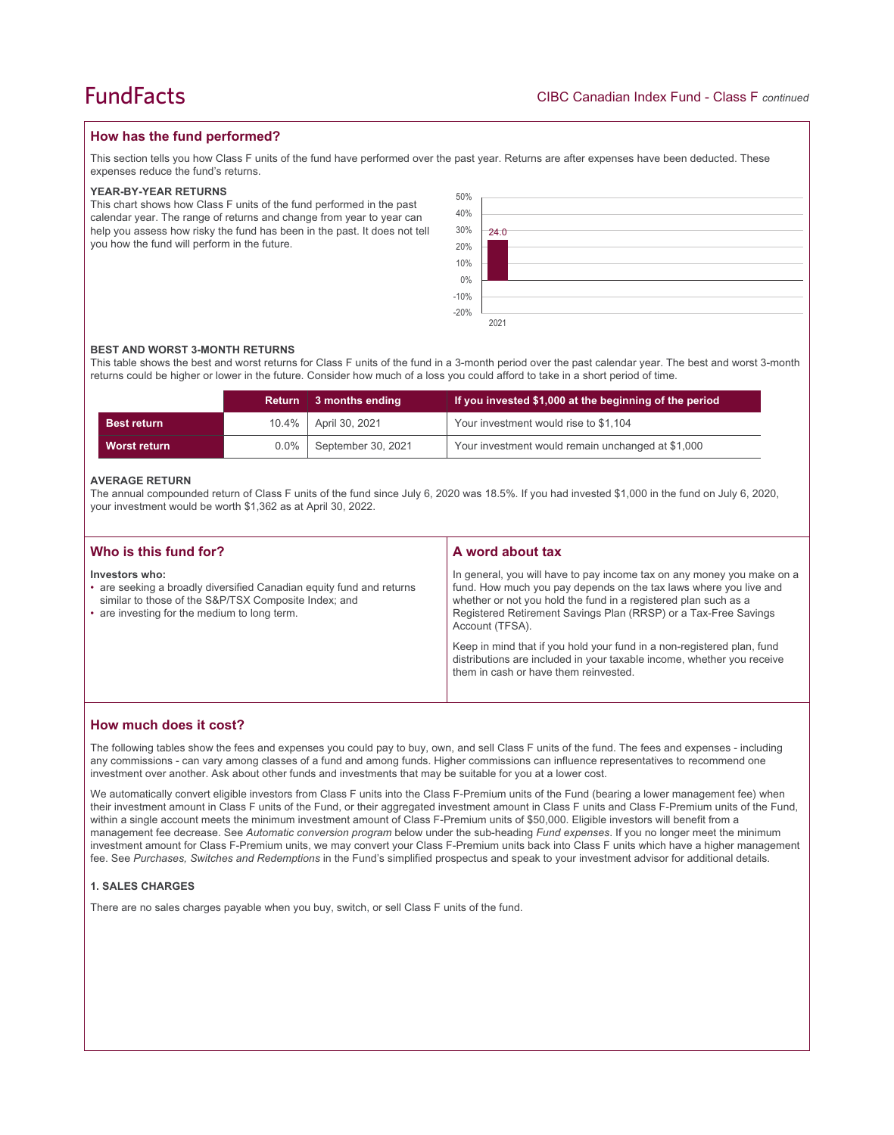# **How has the fund performed?**

This section tells you how Class F units of the fund have performed over the past year. Returns are after expenses have been deducted. These expenses reduce the fund's returns.

## **YEAR-BY-YEAR RETURNS**

This chart shows how Class F units of the fund performed in the past calendar year. The range of returns and change from year to year can help you assess how risky the fund has been in the past. It does not tell you how the fund will perform in the future.



## **BEST AND WORST 3-MONTH RETURNS**

This table shows the best and worst returns for Class F units of the fund in a 3-month period over the past calendar year. The best and worst 3-month returns could be higher or lower in the future. Consider how much of a loss you could afford to take in a short period of time.

|                    | Return   | 3 months ending    | If you invested \$1,000 at the beginning of the period |
|--------------------|----------|--------------------|--------------------------------------------------------|
| <b>Best return</b> | $10.4\%$ | April 30, 2021     | Your investment would rise to \$1,104                  |
| Worst return       | $0.0\%$  | September 30, 2021 | Your investment would remain unchanged at \$1,000      |

### **AVERAGE RETURN**

The annual compounded return of Class F units of the fund since July 6, 2020 was 18.5%. If you had invested \$1,000 in the fund on July 6, 2020, your investment would be worth \$1,362 as at April 30, 2022.

| Who is this fund for?                                                                                                                                                                          | A word about tax                                                                                                                                                                                                                                                                                                                                                                                                                                                                                  |
|------------------------------------------------------------------------------------------------------------------------------------------------------------------------------------------------|---------------------------------------------------------------------------------------------------------------------------------------------------------------------------------------------------------------------------------------------------------------------------------------------------------------------------------------------------------------------------------------------------------------------------------------------------------------------------------------------------|
| Investors who:<br>• are seeking a broadly diversified Canadian equity fund and returns<br>similar to those of the S&P/TSX Composite Index; and<br>• are investing for the medium to long term. | In general, you will have to pay income tax on any money you make on a<br>fund. How much you pay depends on the tax laws where you live and<br>whether or not you hold the fund in a registered plan such as a<br>Registered Retirement Savings Plan (RRSP) or a Tax-Free Savings<br>Account (TFSA).<br>Keep in mind that if you hold your fund in a non-registered plan, fund<br>distributions are included in your taxable income, whether you receive<br>them in cash or have them reinvested. |

## **How much does it cost?**

The following tables show the fees and expenses you could pay to buy, own, and sell Class F units of the fund. The fees and expenses - including any commissions - can vary among classes of a fund and among funds. Higher commissions can influence representatives to recommend one investment over another. Ask about other funds and investments that may be suitable for you at a lower cost.

We automatically convert eligible investors from Class F units into the Class F-Premium units of the Fund (bearing a lower management fee) when their investment amount in Class F units of the Fund, or their aggregated investment amount in Class F units and Class F-Premium units of the Fund, within a single account meets the minimum investment amount of Class F-Premium units of \$50,000. Eligible investors will benefit from a management fee decrease. See *Automatic conversion program* below under the sub-heading *Fund expenses*. If you no longer meet the minimum investment amount for Class F-Premium units, we may convert your Class F-Premium units back into Class F units which have a higher management fee. See *Purchases, Switches and Redemptions* in the Fund's simplified prospectus and speak to your investment advisor for additional details.

## **1. SALES CHARGES**

There are no sales charges payable when you buy, switch, or sell Class F units of the fund.